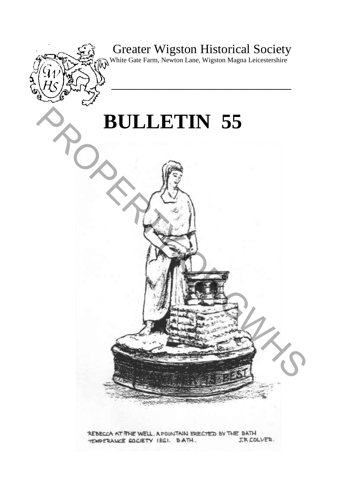# Greater Wigston Historical Society

**\_\_\_\_\_\_\_\_\_\_\_\_\_\_\_\_\_\_\_\_\_\_\_\_\_\_\_\_\_\_\_\_\_\_\_\_\_\_\_** 

W White Gate Farm, Newton Lane, Wigston Magna Leicestershire

# **BULLETIN 55**

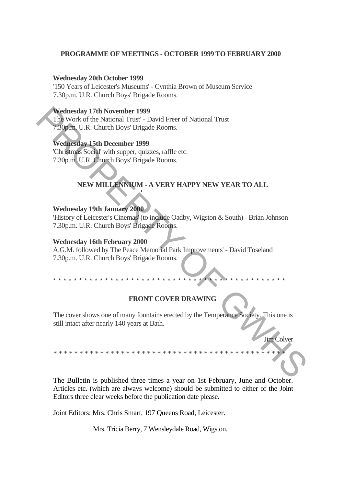# **PROGRAMME OF MEETINGS - OCTOBER 1999 TO FEBRUARY 2000**

#### **Wednesday 20th October 1999**

'150 Years of Leicester's Museums' - Cynthia Brown of Museum Service 7.30p.m. U.R. Church Boys' Brigade Rooms.

#### **Wednesday 17th November 1999**

The Work of the National Trust' - David Freer of National Trust 7.30p.m. U.R. Church Boys' Brigade Rooms.

*'*

# **Wednesday 15th December 1999**

'Christmas Social' with supper, quizzes, raffle etc. 7.30p.m. U.R. Church Boys' Brigade Rooms.

# **NEW MILLENNIUM - A VERY HAPPY NEW YEAR TO ALL**

## **Wednesday 19th January 2000**

'History of Leicester's Cinemas' (to include Oadby, Wigston & South) - Brian Johnson 7.30p.m. U.R. Church Boys' Brigade Rooms.

## **Wednesday 16th February 2000**

A.G.M. followed by The Peace Memorial Park Improvements' - David Toseland 7.30p.m. U.R. Church Boys' Brigade Rooms.

# **FRONT COVER DRAWING**

\* \* \* \* \* \* \* \* \* \* \* \* \* \* \* \* \* \* \* \* \* \* \* \* \* \* \* \* \* \* \* \* \* \* \* \* \* \* \* \* \* \* \* \* \*

The cover shows one of many fountains erected by the Temperance Society. This one is still intact after nearly 140 years at Bath. Wethesday 17th November 1999<br>
The Work of the National Trust - David Freer of National Trust<br>
Technical Trust - Text of Britain Bays Brigade Rooms.<br>
Wethesday 15th December 1999<br>
Christing Social with supper, quizze, stil

\*\*\*\*\*\*\*\*\*\*\*\*\*\*\*\*\*\*\*\*\*\*\*\*\*\*\*\*\*\*\*\*\*\*\*\*\*\*\*\*\*\*\*\*\*

Jim Colver

The Bulletin is published three times a year on 1st February, June and October. Articles etc. (which are always welcome) should be submitted to either of the Joint Editors three clear weeks before the publication date please.

Joint Editors: Mrs. Chris Smart, 197 Queens Road, Leicester.

Mrs. Tricia Berry, 7 Wensleydale Road, Wigston.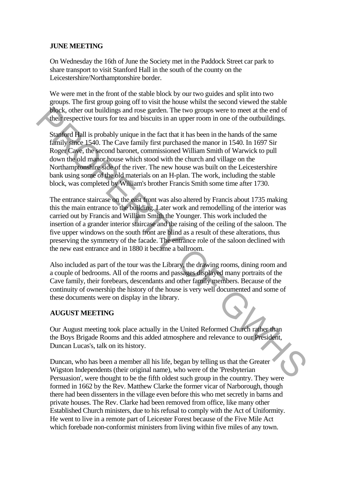# **JUNE MEETING**

On Wednesday the 16th of June the Society met in the Paddock Street car park to share transport to visit Stanford Hall in the south of the county on the Leicestershire/Northamptonshire border.

We were met in the front of the stable block by our two guides and split into two groups. The first group going off to visit the house whilst the second viewed the stable block, other out buildings and rose garden. The two groups were to meet at the end of their respective tours for tea and biscuits in an upper room in one of the outbuildings.

Stanford Hall is probably unique in the fact that it has been in the hands of the same family since 1540. The Cave family first purchased the manor in 1540. In 1697 Sir Roger Cave, the second baronet, commissioned William Smith of Warwick to pull down the old manor house which stood with the church and village on the Northamptonshire side of the river. The new house was built on the Leicestershire bank using some of the old materials on an H-plan. The work, including the stable block, was completed by William's brother Francis Smith some time after 1730.

The entrance staircase on the east front was also altered by Francis about 1735 making this the main entrance to the building. Later work and remodelling of the interior was carried out by Francis and William Smith the Younger. This work included the insertion of a grander interior staircase and the raising of the ceiling of the saloon. The five upper windows on the south front are blind as a result of these alterations, thus preserving the symmetry of the facade. The entrance role of the saloon declined with the new east entrance and in 1880 it became a ballroom. **block**, other out buildings and rose gardon. The two groups were to meet at the end of<br>their respective tours for tea and biseutis in am upper room in one of the outding<br>staging that is probably unique in the fact that it

Also included as part of the tour was the Library, the drawing rooms, dining room and a couple of bedrooms. All of the rooms and passages displayed many portraits of the Cave family, their forebears, descendants and other family members. Because of the continuity of ownership the history of the house is very well documented and some of these documents were on display in the library.

# **AUGUST MEETING**

Our August meeting took place actually in the United Reformed Church rather than the Boys Brigade Rooms and this added atmosphere and relevance to our President, Duncan Lucas's, talk on its history.

Duncan, who has been a member all his life, began by telling us that the Greater Wigston Independents (their original name), who were of the 'Presbyterian Persuasion', were thought to be the fifth oldest such group in the country. They were formed in 1662 by the Rev. Matthew Clarke the former vicar of Narborough, though there had been dissenters in the village even before this who met secretly in barns and private houses. The Rev. Clarke had been removed from office, like many other Established Church ministers, due to his refusal to comply with the Act of Uniformity. He went to live in a remote part of Leicester Forest because of the Five Mile Act which forebade non-conformist ministers from living within five miles of any town.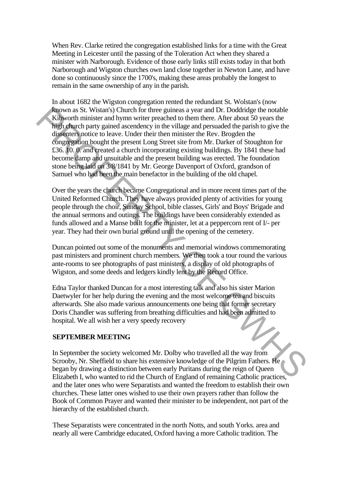When Rev. Clarke retired the congregation established links for a time with the Great Meeting in Leicester until the passing of the Toleration Act when they shared a minister with Narborough. Evidence of those early links still exists today in that both Narborough and Wigston churches own land close together in Newton Lane, and have done so continuously since the 1700's, making these areas probably the longest to remain in the same ownership of any in the parish.

In about 1682 the Wigston congregation rented the redundant St. Wolstan's (now known as St. Wistan's) Church for three guineas a year and Dr. Doddridge the notable Kibworth minister and hymn writer preached to them there. After about 50 years the high church party gained ascendency in the village and persuaded the parish to give the dissenters notice to leave. Under their then minister the Rev. Brogden the congregation bought the present Long Street site from Mr. Darker of Stoughton for £36. 10. 0. and created a church incorporating existing buildings. By 1841 these had become damp and unsuitable and the present building was erected. The foundation stone being laid on 3/8/1841 by Mr. George Davenport of Oxford, grandson of Samuel who had been the main benefactor in the building of the old chapel. From as St. Wistan's) Church for three guineas a year and Dr. Doddrigge the notable<br>Kibworth minister and hymn writer preached to them there. After about 50 years the<br>High church party gained ascendency in the village and

Over the years the church became Congregational and in more recent times part of the United Reformed Church. They have always provided plenty of activities for young people through the choir, Sunday School, bible classes, Girls' and Boys' Brigade and the annual sermons and outings. The buildings have been considerably extended as funds allowed and a Manse built for the minister, let at a peppercorn rent of I/- per year. They had their own burial ground until the opening of the cemetery.

Duncan pointed out some of the monuments and memorial windows commemorating past ministers and prominent church members. We then took a tour round the various ante-rooms to see photographs of past ministers, a display of old photographs of Wigston, and some deeds and ledgers kindly lent by the Record Office.

Edna Taylor thanked Duncan for a most interesting talk and also his sister Marion Daetwyler for her help during the evening and the most welcome tea and biscuits afterwards. She also made various announcements one being that former secretary Doris Chandler was suffering from breathing difficulties and had been admitted to hospital. We all wish her a very speedy recovery

# **SEPTEMBER MEETING**

In September the society welcomed Mr. Dolby who travelled all the way from Scrooby, Nr. Sheffield to share his extensive knowledge of the Pilgrim Fathers. He began by drawing a distinction between early Puritans during the reign of Queen Elizabeth I, who wanted to rid the Church of England of remaining Catholic practices, and the later ones who were Separatists and wanted the freedom to establish their own churches. These latter ones wished to use their own prayers rather than follow the Book of Common Prayer and wanted their minister to be independent, not part of the hierarchy of the established church.

These Separatists were concentrated in the north Notts, and south Yorks. area and nearly all were Cambridge educated, Oxford having a more Catholic tradition. The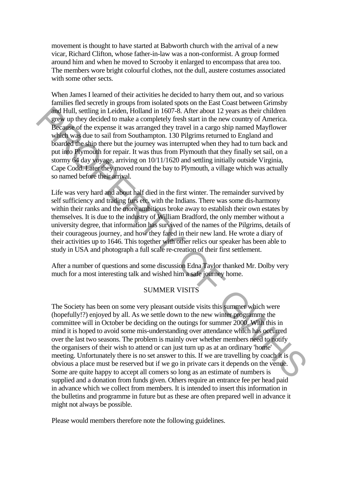movement is thought to have started at Babworth church with the arrival of a new vicar, Richard Clifton, whose father-in-law was a non-conformist. A group formed around him and when he moved to Scrooby it enlarged to encompass that area too. The members wore bright colourful clothes, not the dull, austere costumes associated with some other sects.

When James I learned of their activities he decided to harry them out, and so various families fled secretly in groups from isolated spots on the East Coast between Grimsby and Hull, settling in Leiden, Holland in 1607-8. After about 12 years as their children grew up they decided to make a completely fresh start in the new country of America. Because of the expense it was arranged they travel in a cargo ship named Mayflower which was due to sail from Southampton. 130 Pilgrims returned to England and boarded the ship there but the journey was interrupted when they had to turn back and put into Plymouth for repair. It was thus from Plymouth that they finally set sail, on a stormy 64 day voyage, arriving on 10/11/1620 and settling initially outside Virginia, Cape Codd. Later they moved round the bay to Plymouth, a village which was actually so named before their arrival.

Life was very hard and about half died in the first winter. The remainder survived by self sufficiency and trading furs etc. with the Indians. There was some dis-harmony within their ranks and the more ambitious broke away to establish their own estates by themselves. It is due to the industry of William Bradford, the only member without a university degree, that information has survived of the names of the Pilgrims, details of their courageous journey, and how they fared in their new land. He wrote a diary of their activities up to 1646. This together with other relics our speaker has been able to study in USA and photograph a full scale re-creation of their first settlement.

After a number of questions and some discussion Edna Taylor thanked Mr. Dolby very much for a most interesting talk and wished him a safe journey home.

# SUMMER VISITS

The Society has been on some very pleasant outside visits this summer which were (hopefully!?) enjoyed by all. As we settle down to the new winter programme the committee will in October be deciding on the outings for summer 2000. With this in mind it is hoped to avoid some mis-understanding over attendance which has occurred over the last two seasons. The problem is mainly over whether members need to notify the organisers of their wish to attend or can just turn up as at an ordinary 'home' meeting. Unfortunately there is no set answer to this. If we are travelling by coach it is obvious a place must be reserved but if we go in private cars it depends on the venue. Some are quite happy to accept all comers so long as an estimate of numbers is supplied and a donation from funds given. Others require an entrance fee per head paid in advance which we collect from members. It is intended to insert this information in the bulletins and programme in future but as these are often prepared well in advance it might not always be possible. **Early** Health Leading in Leading in the 1607s. After about 11 years as their children in the second the expense in two star and the second of the expense in was arranged they travel in a cargo ship named Mayllower which

Please would members therefore note the following guidelines.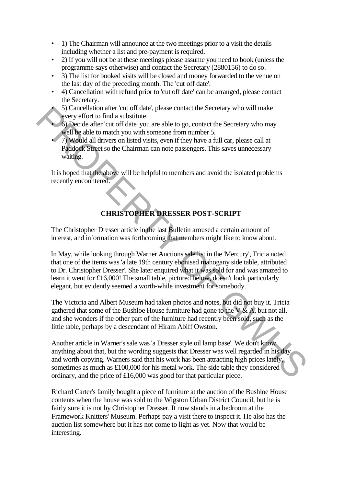- 1) The Chairman will announce at the two meetings prior to a visit the details including whether a list and pre-payment is required.
- 2) If you will not be at these meetings please assume you need to book (unless the programme says otherwise) and contact the Secretary (2880156) to do so.
- 3) The list for booked visits will be closed and money forwarded to the venue on the last day of the preceding month. The 'cut off date'.
- 4) Cancellation with refund prior to 'cut off date' can be arranged, please contact the Secretary.
	- 5) Cancellation after 'cut off date', please contact the Secretary who will make every effort to find a substitute.
- 6) Decide after 'cut off date' you are able to go, contact the Secretary who may well be able to match you with someone from number 5.
- 7) Would all drivers on listed visits, even if they have a full car, please call at Paddock Street so the Chairman can note passengers. This saves unnecessary waiting.

It is hoped that the above will be helpful to members and avoid the isolated problems recently encountered.

# **CHRISTOPHER DRESSER POST-SCRIPT**

The Christopher Dresser article in the last Bulletin aroused a certain amount of interest, and information was forthcoming that members might like to know about.

In May, while looking through Warner Auctions sale list in the 'Mercury', Tricia noted that one of the items was 'a late 19th century ebonised mahogany side table, attributed to Dr. Christopher Dresser'. She later enquired what it was sold for and was amazed to learn it went for £16,000! The small table, pictured below, doesn't look particularly elegant, but evidently seemed a worth-while investment for somebody.

The Victoria and Albert Museum had taken photos and notes, but did not buy it. Tricia gathered that some of the Bushloe House furniture had gone to the  $V & A$ , but not all, and she wonders if the other part of the furniture had recently been sold, such as the little table, perhaps by a descendant of Hiram Abiff Owston.

Another article in Warner's sale was 'a Dresser style oil lamp base'. We don't know anything about that, but the wording suggests that Dresser was well regarded in his day and worth copying. Warners said that his work has been attracting high prices lately, sometimes as much as £100,000 for his metal work. The side table they considered ordinary, and the price of £16,000 was good for that particular piece. So Cancellation after cut of diat; please contact the Secretary who will make<br>
severy ciffort to find a substitute.<br>
Severy ciffort to find a substitute.<br>
Specifor to find a substitute.<br>
The shelt of duat you are note to

Richard Carter's family bought a piece of furniture at the auction of the Bushloe House contents when the house was sold to the Wigston Urban District Council, but he is fairly sure it is not by Christopher Dresser. It now stands in a bedroom at the Framework Knitters' Museum. Perhaps pay a visit there to inspect it. He also has the auction list somewhere but it has not come to light as yet. Now that would be interesting.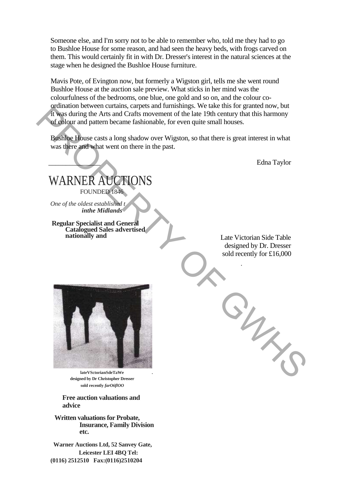Someone else, and I'm sorry not to be able to remember who, told me they had to go to Bushloe House for some reason, and had seen the heavy beds, with frogs carved on them. This would certainly fit in with Dr. Dresser's interest in the natural sciences at the stage when he designed the Bushloe House furniture.

Mavis Pote, of Evington now, but formerly a Wigston girl, tells me she went round Bushloe House at the auction sale preview. What sticks in her mind was the colourfulness of the bedrooms, one blue, one gold and so on, and the colour coordination between curtains, carpets and furnishings. We take this for granted now, but it was during the Arts and Crafts movement of the late 19th century that this harmony of colour and pattern became fashionable, for even quite small houses.

Bushloe House casts a long shadow over Wigston, so that there is great interest in what was there and what went on there in the past.

\_\_\_\_\_\_\_\_\_\_\_\_\_\_\_ Edna Taylor

WARNER AUCTIONS FOUNDED 1846 *One of the oldest established t inthe Midlands*

**Regular Specialist and General Catalogued Sales advertised** 

Late Victorian Side Table designed by Dr. Dresser sold recently for £16,000

.



**lateVSctorianSdeTaWe . designed by Dr Christopher Dresser sold recently** *farO6flOO*

**Free auction valuations and advice**

**Written valuations for Probate, Insurance, Family Division etc.**

**Warner Auctions Ltd, 52 Sanvey Gate, Leicester LEI 4BQ Tel: (0116) 2512510 Fax:(0116)2510204**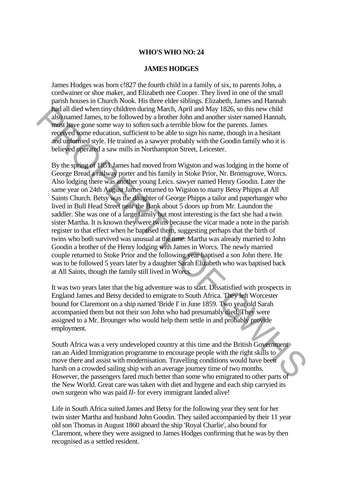# **WHO'S WHO NO: 24**

# **JAMES HODGES**

James Hodges was born c!827 the fourth child in a family of six, to parents John, a cordwainer or shoe maker, and Elizabeth nee Cooper. They lived in one of the small parish houses in Church Nook. His three elder siblings. Elizabeth, James and Hannah had all died when tiny children during March, April and May 1826, so this new child also named James, to be followed by a brother John and another sister named Hannah, must have gone some way to soften such a terrible blow for the parents. James received some education, sufficient to be able to sign his name, though in a hesitant and unformed style. He trained as a sawyer probably with the Goodin family who it is believed operated a saw mills in Northampton Street, Leicester.

By the spring of 1851 James had moved from Wigston and was lodging in the home of George Bread a railway porter and his family in Stoke Prior, Nr. Bromsgrove, Worcs. Also lodging there was another young Leics. sawyer named Henry Goodin. Later the same year on 24th August James returned to Wigston to marry Betsy Phipps at All Saints Church. Betsy was the daughter of George Phipps a tailor and paperhanger who lived in Bull Head Street near the Bank about 5 doors up from Mr. Laundon the saddler. She was one of a large family but most interesting is the fact she had a twin sister Martha. It is known they were twins because the vicar made a note in the parish register to that effect when he baptised them, suggesting perhaps that the birth of twins who both survived was unusual at the time. Martha was already married to John Goodin a brother of the Henry lodging with James in Worcs. The newly married couple returned to Stoke Prior and the following year baptised a son John there. He was to be followed 5 years later by a daughter Sarah Elizabeth who was baptised back at All Saints, though the family still lived in Worcs. had all dist when thiny children during March, April and May 1820, so this new child<br>also named James, to be followed by a brother-John and another sister named Hannah,<br>mass have gone come way to soften such a terrible bl

It was two years later that the big adventure was to start. Dissatisfied with prospects in England James and Betsy decided to emigrate to South Africa. They left Worcester bound for Claremont on a ship named 'Bride I' in June 1859. Two year old Sarah accompanied them but not their son John who had presumably died. They were assigned to a Mr. Brounger who would help them settle in and probably provide employment.

South Africa was a very undeveloped country at this time and the British Government ran an Aided Immigration programme to encourage people with the right skills to move there and assist with modernisation. Travelling conditions would have been harsh on a crowded sailing ship with an average journey time of two months. However, the passengers fared much better than some who emigrated to other parts of the New World. Great care was taken with diet and hygene and each ship carryied its own surgeon who was paid *II-* for every immigrant landed alive!

Life in South Africa suited James and Betsy for the following year they sent for her twin sister Martha and husband John Goodin. They sailed accompanied by their 11 year old son Thomas in August 1860 aboard the ship 'Royal Charlie', also bound for Claremont, where they were assigned to James Hodges confirming that he was by then recognised as a settled resident.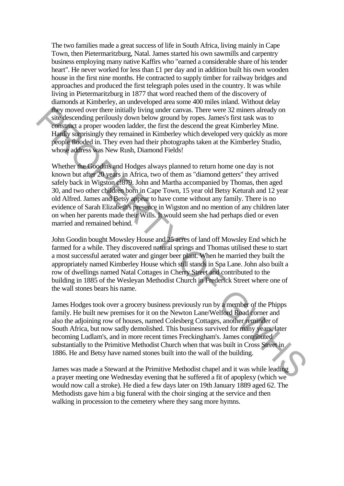The two families made a great success of life in South Africa, living mainly in Cape Town, then Pietermaritzburg, Natal. James started his own sawmills and carpentry business employing many native Kaffirs who "earned a considerable share of his tender heart". He never worked for less than £1 per day and in addition built his own wooden house in the first nine months. He contracted to supply timber for railway bridges and approaches and produced the first telegraph poles used in the country. It was while living in Pietermaritzburg in 1877 that word reached them of the discovery of diamonds at Kimberley, an undeveloped area some 400 miles inland. Without delay they moved over there initially living under canvas. There were 32 miners already on site descending perilously down below ground by ropes. James's first task was to construct a proper wooden ladder, the first the descend the great Kimberley Mine. Hardly surprisingly they remained in Kimberley which developed very quickly as more people flooded in. They even had their photographs taken at the Kimberley Studio, whose address was New Rush, Diamond Fields!

Whether the Goodins and Hodges always planned to return home one day is not known but after 20 years in Africa, two of them as "diamond getters" they arrived safely back in Wigston c!879. John and Martha accompanied by Thomas, then aged 30, and two other children born in Cape Town, 15 year old Betsy Keturah and 12 year old Alfred. James and Betsy appear to have come without any family. There is no evidence of Sarah Elizabeth's presence in Wigston and no mention of any children later on when her parents made their Wills. It would seem she had perhaps died or even married and remained behind. They moved over there initially living under carous. There were 32 minus altered to the buildy size alternative aproper wooden ladder, the first the descend the great Kimberley Mine. Highly singly they remained in Kimberle

John Goodin bought Mowsley House and 25 acres of land off Mowsley End which he farmed for a while. They discovered natural springs and Thomas utilised these to start a most successful aerated water and ginger beer plant. When he married they built the appropriately named Kimberley House which still stands in Spa Lane. John also built a row of dwellings named Natal Cottages in Cherry Street and contributed to the building in 1885 of the Wesleyan Methodist Church in Frederick Street where one of the wall stones bears his name.

James Hodges took over a grocery business previously run by a member of the Phipps family. He built new premises for it on the Newton Lane/Welford Road corner and also the adjoining row of houses, named Colesberg Cottages, another reminder of South Africa, but now sadly demolished. This business survived for many years, later becoming Ludlam's, and in more recent times Freckingham's. James contributed substantially to the Primitive Methodist Church when that was built in Cross Street in 1886. He and Betsy have named stones built into the wall of the building.

James was made a Steward at the Primitive Methodist chapel and it was while leading a prayer meeting one Wednesday evening that he suffered a fit of apoplexy (which we would now call a stroke). He died a few days later on 19th January 1889 aged 62. The Methodists gave him a big funeral with the choir singing at the service and then walking in procession to the cemetery where they sang more hymns.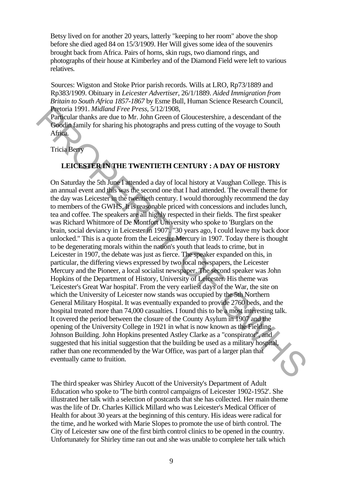Betsy lived on for another 20 years, latterly "keeping to her room" above the shop before she died aged 84 on 15/3/1909. Her Will gives some idea of the souvenirs brought back from Africa. Pairs of horns, skin rugs, two diamond rings, and photographs of their house at Kimberley and of the Diamond Field were left to various relatives.

Sources: Wigston and Stoke Prior parish records. Wills at LRO, Rp73/1889 and Rp383/1909. Obituary in *Leicester Advertiser,* 26/1/1889. *Aided Immigration from Britain to South Africa 1857-1867* by Esme Bull, Human Science Research Council, Pretoria 1991. *Midland Free Press,* 5/12/1908,

Particular thanks are due to Mr. John Green of Gloucestershire, a descendant of the Goodin family for sharing his photographs and press cutting of the voyage to South Africa.

Tricia Berry

# **LEICESTER IN THE TWENTIETH CENTURY : A DAY OF HISTORY**

On Saturday the 5th June I attended a day of local history at Vaughan College. This is an annual event and this was the second one that I had attended. The overall theme for the day was Leicester in the twentieth century. I would thoroughly recommend the day to members of the GWHS. It is reasonable priced with concessions and includes lunch, tea and coffee. The speakers are all highly respected in their fields. The first speaker was Richard Whitmore of De Montfort University who spoke to 'Burglars on the brain, social deviancy in Leicester in 1907'. "30 years ago, I could leave my back door unlocked." This is a quote from the Leicester Mercury in 1907. Today there is thought to be degenerating morals within the nation's youth that leads to crime, but in Leicester in 1907, the debate was just as fierce. The speaker expanded on this, in particular, the differing views expressed by two local newspapers, the Leicester Mercury and the Pioneer, a local socialist newspaper. The second speaker was John Hopkins of the Department of History, University of Leicester. His theme was 'Leicester's Great War hospital'. From the very earliest days of the War, the site on which the University of Leicester now stands was occupied by the 5th Northern General Military Hospital. It was eventually expanded to provide 2760 beds, and the hospital treated more than 74,000 casualties. I found this to be a most interesting talk. It covered the period between the closure of the County Asylum in 1907 and the opening of the University College in 1921 in what is now known as the Fielding Johnson Building. John Hopkins presented Astley Clarke as a "conspirator", and suggested that his initial suggestion that the building be used as a military hospital, rather than one recommended by the War Office, was part of a larger plan that eventually came to fruition. **Process Contain 1991.** *Middural Free Press*, 5/12/1908,<br> **Process Contains and the Cress** CS-12/21908.<br> **Processor And The Contains and the Contains and processor and press cutting of the voyage to South Adjient Tricial** 

The third speaker was Shirley Aucott of the University's Department of Adult Education who spoke to 'The birth control campaigns of Leicester 1902-1952'. She illustrated her talk with a selection of postcards that she has collected. Her main theme was the life of Dr. Charles Killick Millard who was Leicester's Medical Officer of Health for about 30 years at the beginning of this century. His ideas were radical for the time, and he worked with Marie Slopes to promote the use of birth control. The City of Leicester saw one of the first birth control clinics to be opened in the country. Unfortunately for Shirley time ran out and she was unable to complete her talk which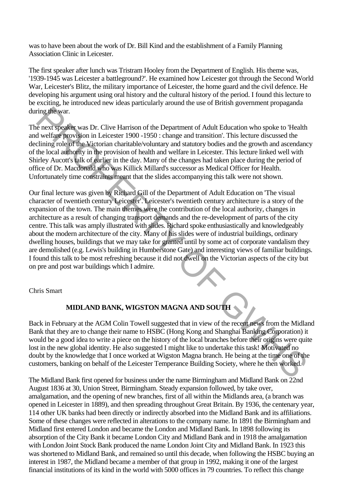was to have been about the work of Dr. Bill Kind and the establishment of a Family Planning Association Clinic in Leicester.

The first speaker after lunch was Tristram Hooley from the Department of English. His theme was, '1939-1945 was Leicester a battleground?'. He examined how Leicester got through the Second World War, Leicester's Blitz, the military importance of Leicester, the home guard and the civil defence. He developing his argument using oral history and the cultural history of the period. I found this lecture to be exciting, he introduced new ideas particularly around the use of British government propaganda during the war.

The next speaker was Dr. Clive Harrison of the Department of Adult Education who spoke to 'Health and welfare provision in Leicester 1900 -1950 : change and transition'. This lecture discussed the declining role of the Victorian charitable/voluntary and statutory bodies and the growth and ascendancy of the local authority in the provision of health and welfare in Leicester. This lecture linked well with Shirley Aucott's talk of earlier in the day. Many of the changes had taken place during the period of office of Dr. Macdonald who was Killick Millard's successor as Medical Officer for Health. Unfortunately time constraints meant that the slides accompanying this talk were not shown.

Our final lecture was given by Richard Gill of the Department of Adult Education on 'The visual character of twentieth century Leicester'. Leicester's twentieth century architecture is a story of the expansion of the town. The main themes were the contribution of the local authority, changes in architecture as a result of changing transport demands and the re-development of parts of the city centre. This talk was amply illustrated with slides. Richard spoke enthusiastically and knowledgeably about the modern architecture of the city. Many of his slides were of industrial buildings, ordinary dwelling houses, buildings that we may take for granted until by some act of corporate vandalism they are demolished (e.g. Lewis's building in Humberstone Gate) and interesting views of familiar buildings. I found this talk to be most refreshing because it did not dwell on the Victorian aspects of the city but on pre and post war buildings which I admire. ring the war.<br>
in each system of the Department of Adult Education who spoke to Health<br>
and welfade providison in Leicester 1900-1950 : change and transition". This lecture discussed the<br>
diversion in Leicester 1900-1950 :

Chris Smart

# **MIDLAND BANK, WIGSTON MAGNA AND SOUTH**

Back in February at the AGM Colin Towell suggested that in view of the recent news from the Midland Bank that they are to change their name to HSBC (Hong Kong and Shanghai Banking Corporation) it would be a good idea to write a piece on the history of the local branches before their origins were quite lost in the new global identity. He also suggested I might like to undertake this task! Motivated no doubt by the knowledge that I once worked at Wigston Magna branch. He being at the time one of the customers, banking on behalf of the Leicester Temperance Building Society, where he then worked.

The Midland Bank first opened for business under the name Birmingham and Midland Bank on 22nd August 1836 at 30, Union Street, Birmingham. Steady expansion followed, by take over, amalgamation, and the opening of new branches, first of all within the Midlands area, (a branch was opened in Leicester in 1889), and then spreading throughout Great Britain. By 1936, the centenary year, 114 other UK banks had been directly or indirectly absorbed into the Midland Bank and its affiliations. Some of these changes were reflected in alterations to the company name. In 1891 the Birmingham and Midland first entered London and became the London and Midland Bank. In 1898 following its absorption of the City Bank it became London City and Midland Bank and in 1918 the amalgamation with London Joint Stock Bank produced the name London Joint City and Midland Bank. In 1923 this was shortened to Midland Bank, and remained so until this decade, when following the HSBC buying an interest in 1987, the Midland became a member of that group in 1992, making it one of the largest financial institutions of its kind in the world with 5000 offices in 79 countries. To reflect this change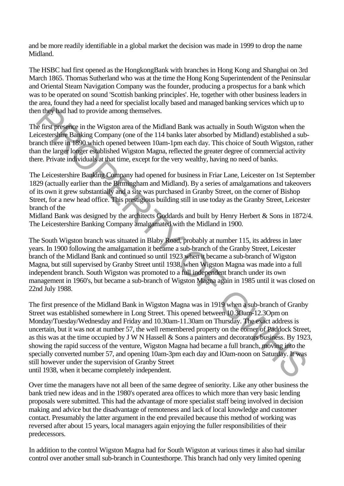and be more readily identifiable in a global market the decision was made in 1999 to drop the name Midland.

The HSBC had first opened as the HongkongBank with branches in Hong Kong and Shanghai on 3rd March 1865. Thomas Sutherland who was at the time the Hong Kong Superintendent of the Peninsular and Oriental Steam Navigation Company was the founder, producing a prospectus for a bank which was to be operated on sound 'Scottish banking principles'. He, together with other business leaders in the area, found they had a need for specialist locally based and managed banking services which up to then they had had to provide among themselves.

The first presence in the Wigston area of the Midland Bank was actually in South Wigston when the Leicestershire Banking Company (one of the 114 banks later absorbed by Midland) established a subbranch there in 1890 which opened between 10am-1pm each day. This choice of South Wigston, rather than the larger longer established Wigston Magna, reflected the greater degree of commercial activity there. Private individuals at that time, except for the very wealthy, having no need of banks.

The Leicestershire Banking Company had opened for business in Friar Lane, Leicester on 1st September 1829 (actually earlier than the Birmingham and Midland). By a series of amalgamations and takeovers of its own it grew substantially and a site was purchased in Granby Street, on the corner of Bishop Street, for a new head office. This prestigious building still in use today as the Granby Street, Leicester branch of the

Midland Bank was designed by the architects Goddards and built by Henry Herbert & Sons in 1872/4. The Leicestershire Banking Company amalgamated with the Midland in 1900.

The South Wigston branch was situated in Blaby Road, probably at number 115, its address in later years. In 1900 following the amalgamation it became a sub-branch of the Granby Street, Leicester branch of the Midland Bank and continued so until 1923 when it became a sub-branch of Wigston Magna, but still supervised by Granby Street until 1938, when Wigston Magna was made into a full independent branch. South Wigston was promoted to a full independent branch under its own management in 1960's, but became a sub-branch of Wigston Magna again in 1985 until it was closed on 22nd July 1988.

The first presence of the Midland Bank in Wigston Magna was in 1919 when a sub-branch of Granby Street was established somewhere in Long Street. This opened between 10.3Oam-12.3Opm on Monday/Tuesday/Wednesday and Friday and 10.30am-11.30am on Thursday. The exact address is uncertain, but it was not at number 57, the well remembered property on the corner of Paddock Street, as this was at the time occupied by J W N Hassell & Sons a painters and decorators business. By 1923, showing the rapid success of the venture, Wigston Magna had became a full branch, moving into the specially converted number 57, and opening 10am-3pm each day and lOam-noon on Saturday. It was still however under the supervision of Granby Street until 1938, when it became completely independent. in they had had to provide among themselves.<br>
in the Wigston wire of the Middland Bank was actually in South Wigston when the tist presence in the Wigston practice of the 144 banks later absorbed by Midland) established a

Over time the managers have not all been of the same degree of seniority. Like any other business the bank tried new ideas and in the 1980's operated area offices to which more than very basic lending proposals were submitted. This had the advantage of more specialist staff being involved in decision making and advice but the disadvantage of remoteness and lack of local knowledge and customer contact. Presumably the latter argument in the end prevailed because this method of working was reversed after about 15 years, local managers again enjoying the fuller responsibilities of their predecessors.

In addition to the control Wigston Magna had for South Wigston at various times it also had similar control over another small sub-branch in Countesthorpe. This branch had only very limited opening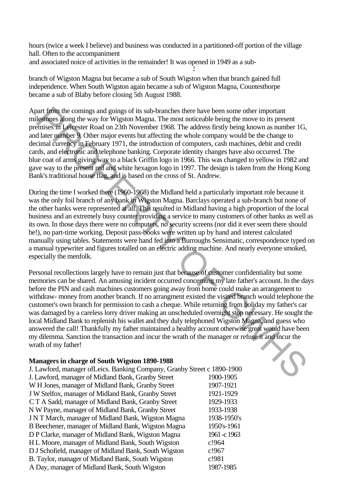hours (twice a week I believe) and business was conducted in a partitioned-off portion of the village hall. Often to the accompaniment and associated noice of activities in the remainder! It was opened in 1949 as a sub-

-

branch of Wigston Magna but became a sub of South Wigston when that branch gained full independence. When South Wigston again became a sub of Wigston Magna, Countesthorpe became a sub of Blaby before closing 5th August 1988.

Apart from the comings and goings of its sub-branches there have been some other important milestones along the way for Wigston Magna. The most noticeable being the move to its present premises in Leicester Road on 23th November 1968. The address firstly being known as number 1G, and later number 9. Other major events but affecting the whole company would be the change to decimal currency in February 1971, the introduction of computers, cash machines, debit and credit cards, and electronic and telephone banking. Corporate identity changes have also occurred. The blue coat of arms giving way to a black Griffin logo in 1966. This was changed to yellow in 1982 and gave way to the present red and white hexagon logo in 1997. The design is taken from the Hong Kong Bank's traditional house flag, and is based on the cross of St. Andrew.

During the time I worked there (1960-1968) the Midland held a particularly important role because it was the only foil branch of any bank in Wigston Magna. Barclays operated a sub-branch but none of the other banks were represented at all. This resulted in Midland having a high proportion of the local business and an extremely busy counter providing a service to many customers of other banks as well as its own. In those days there were no computers, no security screens (nor did it ever seem there should be!), no part-time working. Deposit pass-books were written up by hand and interest calculated manually using tables. Statements were hand fed into a Burroughs Sensimatic, correspondence typed on a manual typewriter and figures totalled on an electric adding machine. And nearly everyone smoked, especially the menfolk.

Personal recollections largely have to remain just that because of customer confidentiality but some memories can be shared. An amusing incident occurred concerning my late father's account. In the days before the PIN and cash machines customers going away from home could make an arrangement to withdraw- money from another branch. If no arrangment existed the visited branch would telephone the customer's own branch for permission to cash a cheque. While returning from holiday my father's car was damaged by a careless lorry driver making an unscheduled overnight stop necessary. He sought the local Midland Bank to replenish his wallet and they duly telephoned Wigston Magna, and guess who answered the call! Thankfully my father maintained a healthy account otherwise great would have been my dilemma. Sanction the transaction and incur the wrath of the manager or refuse it and incur the wrath of my father! mar lion the comings sund goings of its sub-branches there have been some other important that the coming sund going of its sub-branches there are all all mean properties. The distance of the computers in the computer of t

#### **Managers in charge of South Wigston 1890-1988**

| J. Lawford, manager of Leics. Banking Company, Granby Street c 1890-1900 |              |
|--------------------------------------------------------------------------|--------------|
| J. Lawford, manager of Midland Bank, Granby Street                       | 1900-1905    |
| W H Jones, manager of Midland Bank, Granby Street                        | 1907-1921    |
| J W Stelfox, manager of Midland Bank, Granby Street                      | 1921-1929    |
| CT A Sadd, manager of Midland Bank, Granby Street                        | 1929-1933    |
| N W Payne, manager of Midland Bank, Granby Street                        | 1933-1938    |
| J N T March, manager of Midland Bank, Wigston Magna                      | 1938-1950's  |
| B Beechener, manager of Midland Bank, Wigston Magna                      | 1950's-1961  |
| D P Clarke, manager of Midland Bank, Wigston Magna                       | 1961 - c1963 |
| H L Moore, manager of Midland Bank, South Wigston                        | c!964        |
| D J Schofield, manager of Midland Bank, South Wigston                    | c!967        |
| B. Taylor, manager of Midland Bank, South Wigston                        | c!981        |
| A Day, manager of Midland Bank, South Wigston                            | 1987-1985    |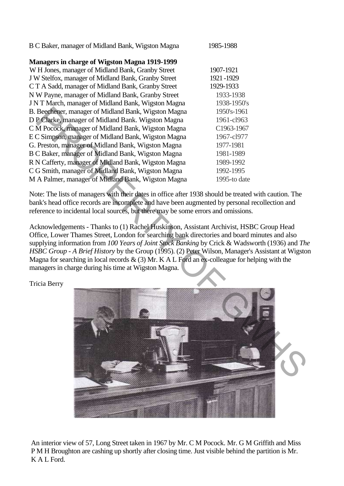| B C Baker, manager of Midland Bank, Wigston Magna |  | 1985-1988 |
|---------------------------------------------------|--|-----------|
|                                                   |  |           |

# **Managers in charge of Wigston Magna 1919-1999**

W H Jones, manager of Midland Bank, Granby Street 1907-1921 J W Stelfox, manager of Midland Bank, Granby Street 1921 -1929 C T A Sadd, manager of Midland Bank, Granby Street 1929-1933 N W Payne, manager of Midland Bank, Granby Street 1933-1938 J N T March, manager of Midland Bank, Wigston Magna 1938-1950's B. Beechener, manager of Midland Bank, Wigston Magna 1950's-1961 D P Clarke, manager of Midland Bank. Wigston Magna 1961-cl963 C M Pocock, manager of Midland Bank, Wigston Magna C1963-1967 E C Simpson, manager of Midland Bank, Wigston Magna 1967-cl977 G. Preston, manager of Midland Bank, Wigston Magna 1977-1981 B C Baker, manager of Midland Bank, Wigston Magna 1981-1989 R N Cafferty, manager of Midland Bank, Wigston Magna 1989-1992 C G Smith, manager of Midland Bank, Wigston Magna 1992-1995 M A Palmer, manager of Midland Bank, Wigston Magna 1995-to date

Note: The lists of managers with their dates in office after 1938 should be treated with caution. The bank's head office records are incomplete and have been augmented by personal recollection and reference to incidental local sources, but there may be some errors and omissions.

Acknowledgements - Thanks to (1) Rachel Huskinson, Assistant Archivist, HSBC Group Head Office, Lower Thames Street, London for searching bank directories and board minutes and also supplying information from *100 Years of Joint Stock Banking* by Crick & Wadsworth (1936) and *The HSBC Group - A Brief History* by the Group (1995). (2) Peter Wilson, Manager's Assistant at Wigston Magna for searching in local records  $\&$  (3) Mr. K A L Ford an ex-colleague for helping with the managers in charge during his time at Wigston Magna.

Tricia Berry



An interior view of 57, Long Street taken in 1967 by Mr. C M Pocock. Mr. G M Griffith and Miss P M H Broughton are cashing up shortly after closing time. Just visible behind the partition is Mr. K A L Ford.